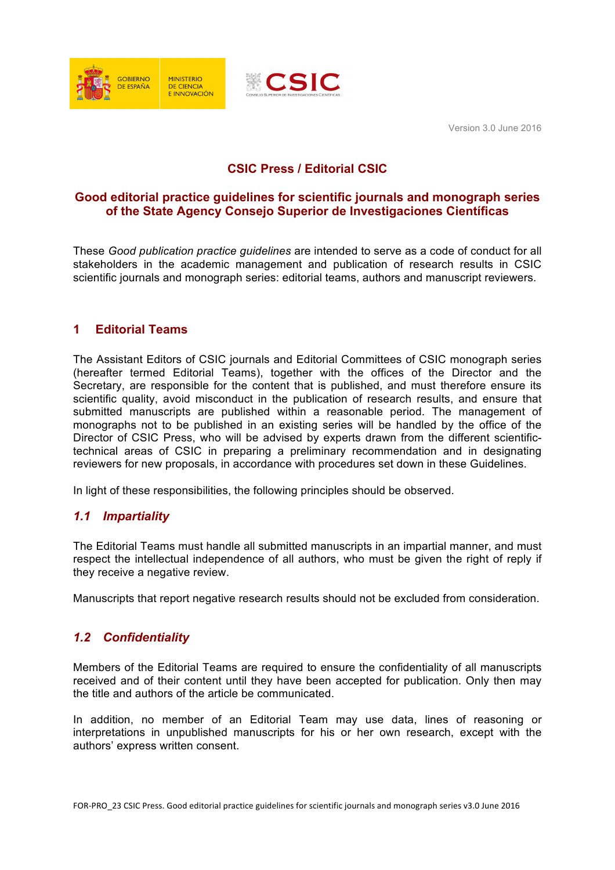



Version 3.0 June 2016

# **CSIC Press / Editorial CSIC**

#### **Good editorial practice guidelines for scientific journals and monograph series of the State Agency Consejo Superior de Investigaciones Científicas**

These *Good publication practice guidelines* are intended to serve as a code of conduct for all stakeholders in the academic management and publication of research results in CSIC scientific journals and monograph series: editorial teams, authors and manuscript reviewers.

## **1 Editorial Teams**

The Assistant Editors of CSIC journals and Editorial Committees of CSIC monograph series (hereafter termed Editorial Teams), together with the offices of the Director and the Secretary, are responsible for the content that is published, and must therefore ensure its scientific quality, avoid misconduct in the publication of research results, and ensure that submitted manuscripts are published within a reasonable period. The management of monographs not to be published in an existing series will be handled by the office of the Director of CSIC Press, who will be advised by experts drawn from the different scientifictechnical areas of CSIC in preparing a preliminary recommendation and in designating reviewers for new proposals, in accordance with procedures set down in these Guidelines.

In light of these responsibilities, the following principles should be observed.

## *1.1 Impartiality*

The Editorial Teams must handle all submitted manuscripts in an impartial manner, and must respect the intellectual independence of all authors, who must be given the right of reply if they receive a negative review.

Manuscripts that report negative research results should not be excluded from consideration.

## *1.2 Confidentiality*

Members of the Editorial Teams are required to ensure the confidentiality of all manuscripts received and of their content until they have been accepted for publication. Only then may the title and authors of the article be communicated.

In addition, no member of an Editorial Team may use data, lines of reasoning or interpretations in unpublished manuscripts for his or her own research, except with the authors' express written consent.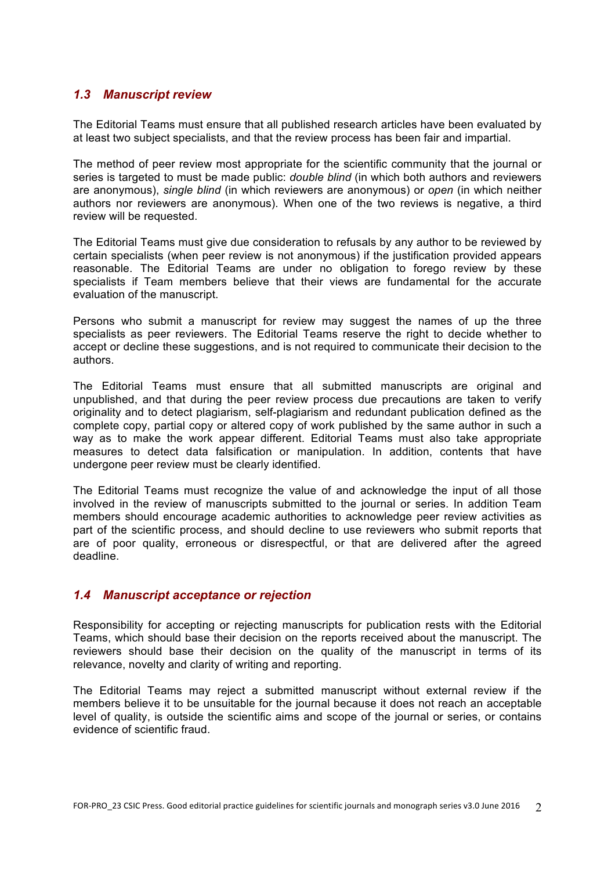#### *1.3 Manuscript review*

The Editorial Teams must ensure that all published research articles have been evaluated by at least two subject specialists, and that the review process has been fair and impartial.

The method of peer review most appropriate for the scientific community that the journal or series is targeted to must be made public: *double blind* (in which both authors and reviewers are anonymous), *single blind* (in which reviewers are anonymous) or *open* (in which neither authors nor reviewers are anonymous). When one of the two reviews is negative, a third review will be requested.

The Editorial Teams must give due consideration to refusals by any author to be reviewed by certain specialists (when peer review is not anonymous) if the justification provided appears reasonable. The Editorial Teams are under no obligation to forego review by these specialists if Team members believe that their views are fundamental for the accurate evaluation of the manuscript.

Persons who submit a manuscript for review may suggest the names of up the three specialists as peer reviewers. The Editorial Teams reserve the right to decide whether to accept or decline these suggestions, and is not required to communicate their decision to the authors.

The Editorial Teams must ensure that all submitted manuscripts are original and unpublished, and that during the peer review process due precautions are taken to verify originality and to detect plagiarism, self-plagiarism and redundant publication defined as the complete copy, partial copy or altered copy of work published by the same author in such a way as to make the work appear different. Editorial Teams must also take appropriate measures to detect data falsification or manipulation. In addition, contents that have undergone peer review must be clearly identified.

The Editorial Teams must recognize the value of and acknowledge the input of all those involved in the review of manuscripts submitted to the journal or series. In addition Team members should encourage academic authorities to acknowledge peer review activities as part of the scientific process, and should decline to use reviewers who submit reports that are of poor quality, erroneous or disrespectful, or that are delivered after the agreed deadline.

#### *1.4 Manuscript acceptance or rejection*

Responsibility for accepting or rejecting manuscripts for publication rests with the Editorial Teams, which should base their decision on the reports received about the manuscript. The reviewers should base their decision on the quality of the manuscript in terms of its relevance, novelty and clarity of writing and reporting.

The Editorial Teams may reject a submitted manuscript without external review if the members believe it to be unsuitable for the journal because it does not reach an acceptable level of quality, is outside the scientific aims and scope of the journal or series, or contains evidence of scientific fraud.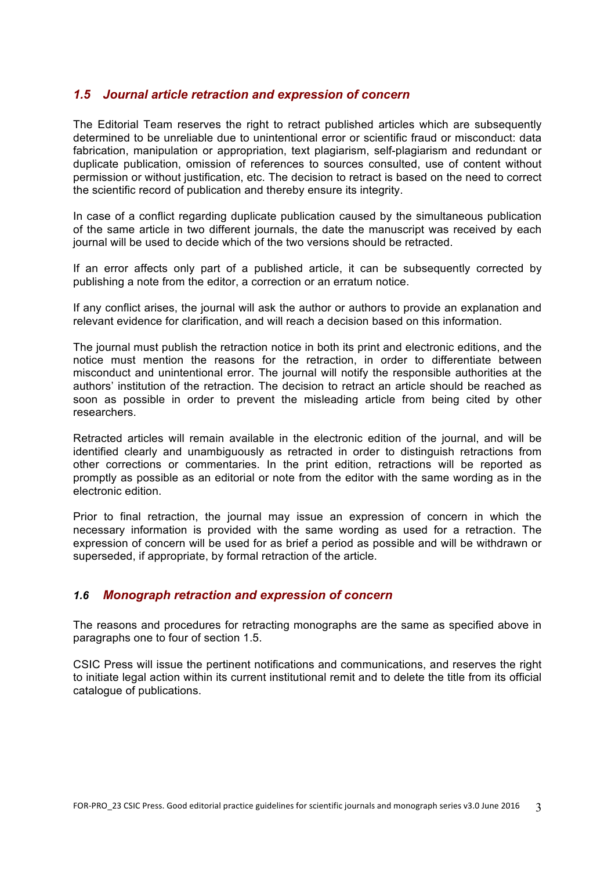#### *1.5 Journal article retraction and expression of concern*

The Editorial Team reserves the right to retract published articles which are subsequently determined to be unreliable due to unintentional error or scientific fraud or misconduct: data fabrication, manipulation or appropriation, text plagiarism, self-plagiarism and redundant or duplicate publication, omission of references to sources consulted, use of content without permission or without justification, etc. The decision to retract is based on the need to correct the scientific record of publication and thereby ensure its integrity.

In case of a conflict regarding duplicate publication caused by the simultaneous publication of the same article in two different journals, the date the manuscript was received by each journal will be used to decide which of the two versions should be retracted.

If an error affects only part of a published article, it can be subsequently corrected by publishing a note from the editor, a correction or an erratum notice.

If any conflict arises, the journal will ask the author or authors to provide an explanation and relevant evidence for clarification, and will reach a decision based on this information.

The journal must publish the retraction notice in both its print and electronic editions, and the notice must mention the reasons for the retraction, in order to differentiate between misconduct and unintentional error. The journal will notify the responsible authorities at the authors' institution of the retraction. The decision to retract an article should be reached as soon as possible in order to prevent the misleading article from being cited by other researchers.

Retracted articles will remain available in the electronic edition of the journal, and will be identified clearly and unambiguously as retracted in order to distinguish retractions from other corrections or commentaries. In the print edition, retractions will be reported as promptly as possible as an editorial or note from the editor with the same wording as in the electronic edition.

Prior to final retraction, the journal may issue an expression of concern in which the necessary information is provided with the same wording as used for a retraction. The expression of concern will be used for as brief a period as possible and will be withdrawn or superseded, if appropriate, by formal retraction of the article.

#### *1.6 Monograph retraction and expression of concern*

The reasons and procedures for retracting monographs are the same as specified above in paragraphs one to four of section 1.5.

CSIC Press will issue the pertinent notifications and communications, and reserves the right to initiate legal action within its current institutional remit and to delete the title from its official catalogue of publications.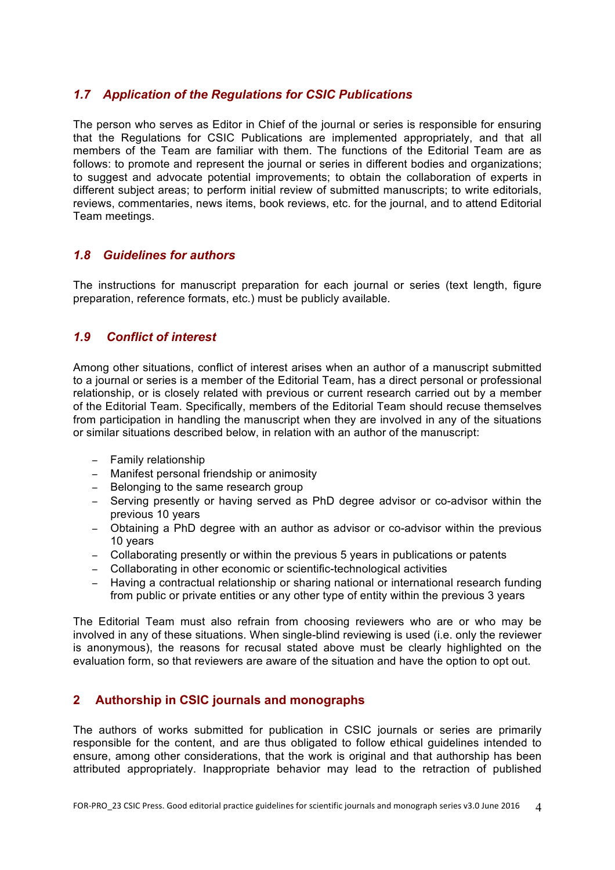## *1.7 Application of the Regulations for CSIC Publications*

The person who serves as Editor in Chief of the journal or series is responsible for ensuring that the Regulations for CSIC Publications are implemented appropriately, and that all members of the Team are familiar with them. The functions of the Editorial Team are as follows: to promote and represent the journal or series in different bodies and organizations; to suggest and advocate potential improvements; to obtain the collaboration of experts in different subject areas; to perform initial review of submitted manuscripts; to write editorials, reviews, commentaries, news items, book reviews, etc. for the journal, and to attend Editorial Team meetings.

#### *1.8 Guidelines for authors*

The instructions for manuscript preparation for each journal or series (text length, figure preparation, reference formats, etc.) must be publicly available.

## *1.9 Conflict of interest*

Among other situations, conflict of interest arises when an author of a manuscript submitted to a journal or series is a member of the Editorial Team, has a direct personal or professional relationship, or is closely related with previous or current research carried out by a member of the Editorial Team. Specifically, members of the Editorial Team should recuse themselves from participation in handling the manuscript when they are involved in any of the situations or similar situations described below, in relation with an author of the manuscript:

- − Family relationship
- − Manifest personal friendship or animosity
- − Belonging to the same research group
- − Serving presently or having served as PhD degree advisor or co-advisor within the previous 10 years
- − Obtaining a PhD degree with an author as advisor or co-advisor within the previous 10 years
- − Collaborating presently or within the previous 5 years in publications or patents
- − Collaborating in other economic or scientific-technological activities
- − Having a contractual relationship or sharing national or international research funding from public or private entities or any other type of entity within the previous 3 years

The Editorial Team must also refrain from choosing reviewers who are or who may be involved in any of these situations. When single-blind reviewing is used (i.e. only the reviewer is anonymous), the reasons for recusal stated above must be clearly highlighted on the evaluation form, so that reviewers are aware of the situation and have the option to opt out.

## **2 Authorship in CSIC journals and monographs**

The authors of works submitted for publication in CSIC journals or series are primarily responsible for the content, and are thus obligated to follow ethical guidelines intended to ensure, among other considerations, that the work is original and that authorship has been attributed appropriately. Inappropriate behavior may lead to the retraction of published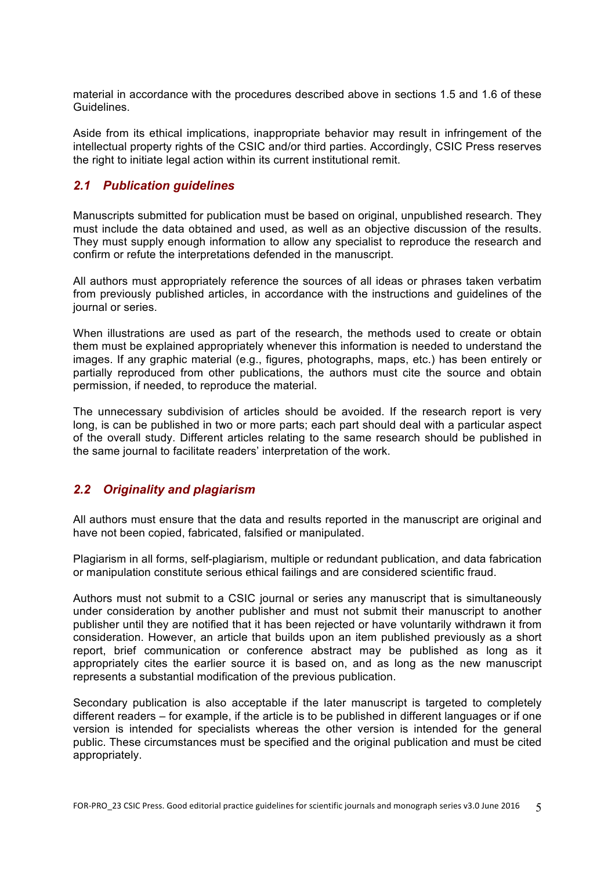material in accordance with the procedures described above in sections 1.5 and 1.6 of these Guidelines.

Aside from its ethical implications, inappropriate behavior may result in infringement of the intellectual property rights of the CSIC and/or third parties. Accordingly, CSIC Press reserves the right to initiate legal action within its current institutional remit.

## *2.1 Publication guidelines*

Manuscripts submitted for publication must be based on original, unpublished research. They must include the data obtained and used, as well as an objective discussion of the results. They must supply enough information to allow any specialist to reproduce the research and confirm or refute the interpretations defended in the manuscript.

All authors must appropriately reference the sources of all ideas or phrases taken verbatim from previously published articles, in accordance with the instructions and guidelines of the journal or series.

When illustrations are used as part of the research, the methods used to create or obtain them must be explained appropriately whenever this information is needed to understand the images. If any graphic material (e.g., figures, photographs, maps, etc.) has been entirely or partially reproduced from other publications, the authors must cite the source and obtain permission, if needed, to reproduce the material.

The unnecessary subdivision of articles should be avoided. If the research report is very long, is can be published in two or more parts; each part should deal with a particular aspect of the overall study. Different articles relating to the same research should be published in the same journal to facilitate readers' interpretation of the work.

## *2.2 Originality and plagiarism*

All authors must ensure that the data and results reported in the manuscript are original and have not been copied, fabricated, falsified or manipulated.

Plagiarism in all forms, self-plagiarism, multiple or redundant publication, and data fabrication or manipulation constitute serious ethical failings and are considered scientific fraud.

Authors must not submit to a CSIC journal or series any manuscript that is simultaneously under consideration by another publisher and must not submit their manuscript to another publisher until they are notified that it has been rejected or have voluntarily withdrawn it from consideration. However, an article that builds upon an item published previously as a short report, brief communication or conference abstract may be published as long as it appropriately cites the earlier source it is based on, and as long as the new manuscript represents a substantial modification of the previous publication.

Secondary publication is also acceptable if the later manuscript is targeted to completely different readers – for example, if the article is to be published in different languages or if one version is intended for specialists whereas the other version is intended for the general public. These circumstances must be specified and the original publication and must be cited appropriately.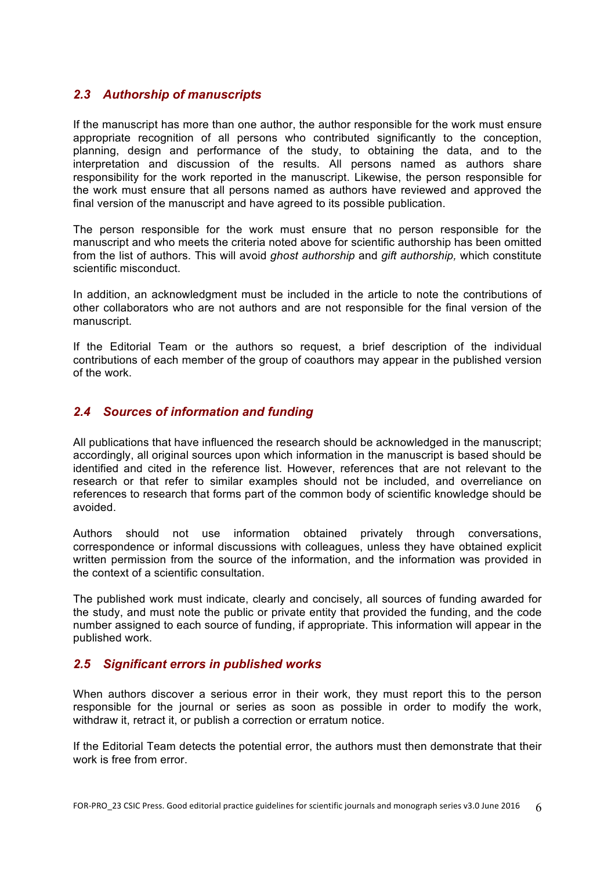## *2.3 Authorship of manuscripts*

If the manuscript has more than one author, the author responsible for the work must ensure appropriate recognition of all persons who contributed significantly to the conception, planning, design and performance of the study, to obtaining the data, and to the interpretation and discussion of the results. All persons named as authors share responsibility for the work reported in the manuscript. Likewise, the person responsible for the work must ensure that all persons named as authors have reviewed and approved the final version of the manuscript and have agreed to its possible publication.

The person responsible for the work must ensure that no person responsible for the manuscript and who meets the criteria noted above for scientific authorship has been omitted from the list of authors. This will avoid *ghost authorship* and *gift authorship,* which constitute scientific misconduct.

In addition, an acknowledgment must be included in the article to note the contributions of other collaborators who are not authors and are not responsible for the final version of the manuscript.

If the Editorial Team or the authors so request, a brief description of the individual contributions of each member of the group of coauthors may appear in the published version of the work.

## *2.4 Sources of information and funding*

All publications that have influenced the research should be acknowledged in the manuscript; accordingly, all original sources upon which information in the manuscript is based should be identified and cited in the reference list. However, references that are not relevant to the research or that refer to similar examples should not be included, and overreliance on references to research that forms part of the common body of scientific knowledge should be avoided.

Authors should not use information obtained privately through conversations, correspondence or informal discussions with colleagues, unless they have obtained explicit written permission from the source of the information, and the information was provided in the context of a scientific consultation.

The published work must indicate, clearly and concisely, all sources of funding awarded for the study, and must note the public or private entity that provided the funding, and the code number assigned to each source of funding, if appropriate. This information will appear in the published work.

## *2.5 Significant errors in published works*

When authors discover a serious error in their work, they must report this to the person responsible for the journal or series as soon as possible in order to modify the work, withdraw it, retract it, or publish a correction or erratum notice.

If the Editorial Team detects the potential error, the authors must then demonstrate that their work is free from error.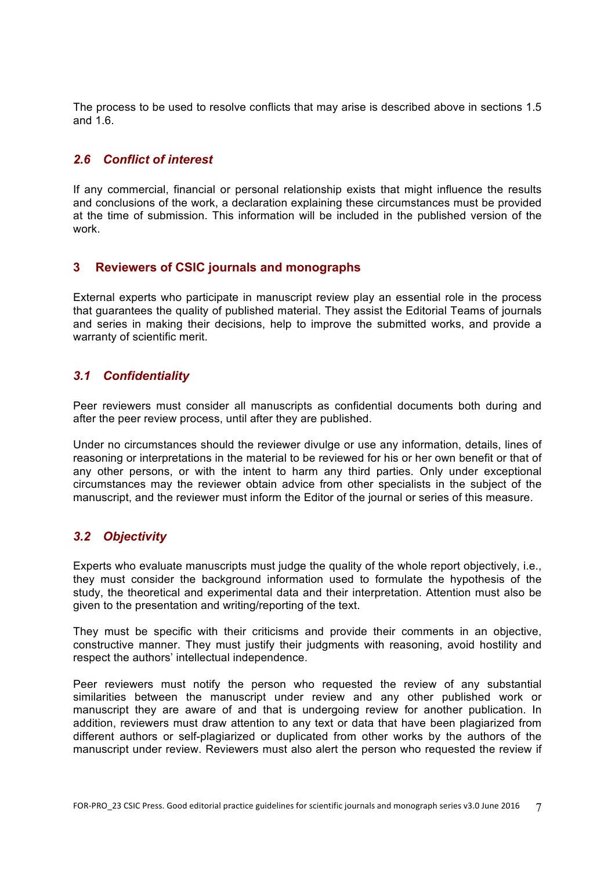The process to be used to resolve conflicts that may arise is described above in sections 1.5 and 1.6.

## *2.6 Conflict of interest*

If any commercial, financial or personal relationship exists that might influence the results and conclusions of the work, a declaration explaining these circumstances must be provided at the time of submission. This information will be included in the published version of the work.

#### **3 Reviewers of CSIC journals and monographs**

External experts who participate in manuscript review play an essential role in the process that guarantees the quality of published material. They assist the Editorial Teams of journals and series in making their decisions, help to improve the submitted works, and provide a warranty of scientific merit.

## *3.1 Confidentiality*

Peer reviewers must consider all manuscripts as confidential documents both during and after the peer review process, until after they are published.

Under no circumstances should the reviewer divulge or use any information, details, lines of reasoning or interpretations in the material to be reviewed for his or her own benefit or that of any other persons, or with the intent to harm any third parties. Only under exceptional circumstances may the reviewer obtain advice from other specialists in the subject of the manuscript, and the reviewer must inform the Editor of the journal or series of this measure.

## *3.2 Objectivity*

Experts who evaluate manuscripts must judge the quality of the whole report objectively, i.e., they must consider the background information used to formulate the hypothesis of the study, the theoretical and experimental data and their interpretation. Attention must also be given to the presentation and writing/reporting of the text.

They must be specific with their criticisms and provide their comments in an objective, constructive manner. They must justify their judgments with reasoning, avoid hostility and respect the authors' intellectual independence.

Peer reviewers must notify the person who requested the review of any substantial similarities between the manuscript under review and any other published work or manuscript they are aware of and that is undergoing review for another publication. In addition, reviewers must draw attention to any text or data that have been plagiarized from different authors or self-plagiarized or duplicated from other works by the authors of the manuscript under review. Reviewers must also alert the person who requested the review if